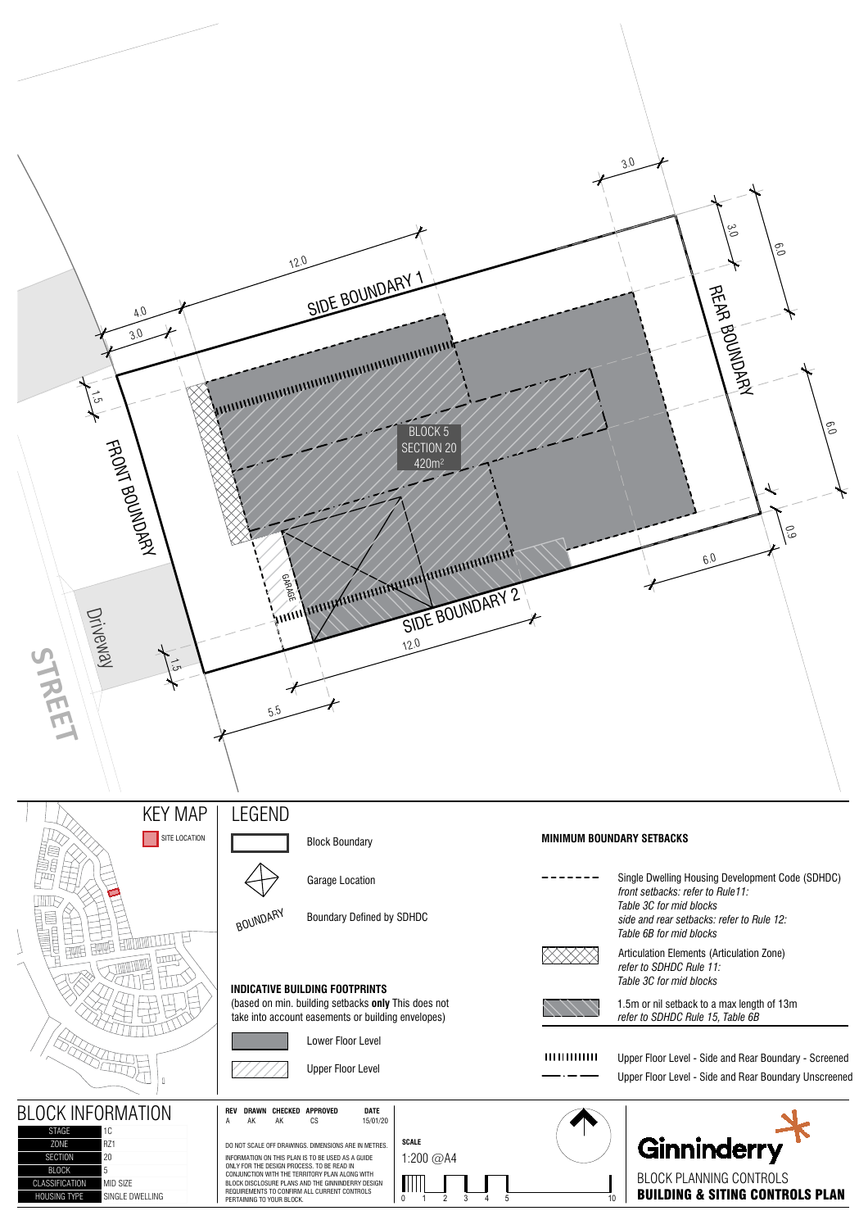